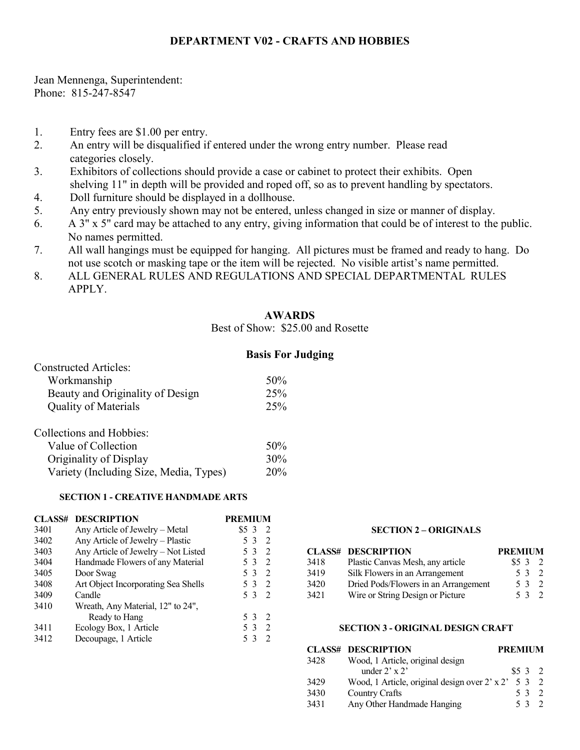# **DEPARTMENT V02 - CRAFTS AND HOBBIES**

Jean Mennenga, Superintendent: Phone: 815-247-8547

- 1. Entry fees are \$1.00 per entry.
- 2. An entry will be disqualified if entered under the wrong entry number. Please read categories closely.
- 3. Exhibitors of collections should provide a case or cabinet to protect their exhibits. Open shelving 11" in depth will be provided and roped off, so as to prevent handling by spectators.
- 4. Doll furniture should be displayed in a dollhouse.
- 5. Any entry previously shown may not be entered, unless changed in size or manner of display.
- 6. A 3" x 5" card may be attached to any entry, giving information that could be of interest to the public. No names permitted.
- 7. All wall hangings must be equipped for hanging. All pictures must be framed and ready to hang. Do not use scotch or masking tape or the item will be rejected. No visible artist's name permitted.
- 8. ALL GENERAL RULES AND REGULATIONS AND SPECIAL DEPARTMENTAL RULES APPLY.

## **AWARDS**

Best of Show: \$25.00 and Rosette

## **Basis For Judging**

| <b>Constructed Articles:</b>           |     |
|----------------------------------------|-----|
| Workmanship                            | 50% |
| Beauty and Originality of Design       | 25% |
| <b>Quality of Materials</b>            | 25% |
| Collections and Hobbies:               |     |
| Value of Collection                    | 50% |
| Originality of Display                 | 30% |
| Variety (Including Size, Media, Types) | 20% |

## **SECTION 1 - CREATIVE HANDMADE ARTS**

| <b>CLASS#</b> | <b>DESCRIPTION</b>                  | <b>PREMIUM</b>        |
|---------------|-------------------------------------|-----------------------|
| 3401          | Any Article of Jewelry - Metal      | $$5\,3$<br>2          |
| 3402          | Any Article of Jewelry - Plastic    | 2<br>5 3              |
| 3403          | Any Article of Jewelry - Not Listed | 2<br>5 3              |
| 3404          | Handmade Flowers of any Material    | 2<br>5 3              |
| 3405          | Door Swag                           | 53<br>-2              |
| 3408          | Art Object Incorporating Sea Shells | 5 3<br>$\overline{2}$ |
| 3409          | Candle                              | 53<br>- 2             |
| 3410          | Wreath, Any Material, 12" to 24",   |                       |
|               | Ready to Hang                       | 53<br>- 2             |
| 3411          | Ecology Box, 1 Article              | 53<br>$\mathcal{L}$   |
| 3412          | Decoupage, 1 Article                | 53<br>$\mathcal{D}$   |

#### **SECTION 2 – ORIGINALS**

|      | <b>CLASS# DESCRIPTION</b>            | <b>PREMIUM</b> |       |
|------|--------------------------------------|----------------|-------|
| 3418 | Plastic Canvas Mesh, any article     | \$532          |       |
| 3419 | Silk Flowers in an Arrangement       |                | 5 3 2 |
| 3420 | Dried Pods/Flowers in an Arrangement |                | 5 3 2 |
| 3421 | Wire or String Design or Picture     |                | 5 3 2 |

#### **SECTION 3 - ORIGINAL DESIGN CRAFT**

|      | <b>CLASS# DESCRIPTION</b>                                  | <b>PREMIUM</b> |     |               |
|------|------------------------------------------------------------|----------------|-----|---------------|
| 3428 | Wood, 1 Article, original design                           |                |     |               |
|      | under $2' \times 2'$                                       | \$532          |     |               |
| 3429 | Wood, 1 Article, original design over $2' \times 2' 5 3 2$ |                |     |               |
| 3430 | Country Crafts                                             |                | 53  | $\mathcal{L}$ |
| 3431 | Any Other Handmade Hanging                                 |                | 532 |               |
|      |                                                            |                |     |               |